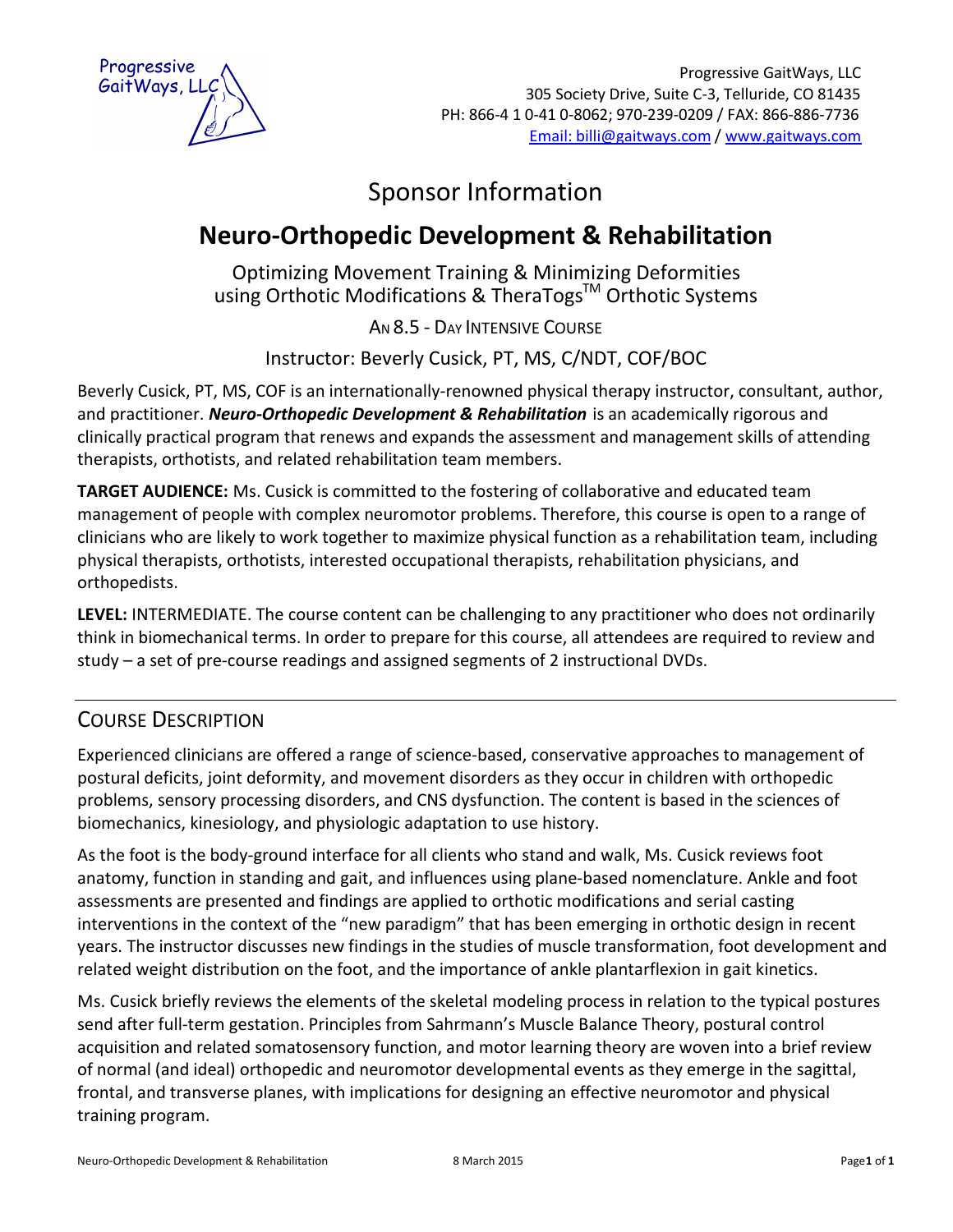

# Sponsor Information

# **Neuro-Orthopedic Development & Rehabilitation**

Optimizing Movement Training & Minimizing Deformities using Orthotic Modifications & TheraTogs™ Orthotic Systems

AN 8.5 - DAY INTENSIVE COURSE

Instructor: Beverly Cusick, PT, MS, C/NDT, COF/BOC

Beverly Cusick, PT, MS, COF is an internationally-renowned physical therapy instructor, consultant, author, and practitioner. *Neuro-Orthopedic Development & Rehabilitation* is an academically rigorous and clinically practical program that renews and expands the assessment and management skills of attending therapists, orthotists, and related rehabilitation team members.

**TARGET AUDIENCE:** Ms. Cusick is committed to the fostering of collaborative and educated team management of people with complex neuromotor problems. Therefore, this course is open to a range of clinicians who are likely to work together to maximize physical function as a rehabilitation team, including physical therapists, orthotists, interested occupational therapists, rehabilitation physicians, and orthopedists.

**LEVEL:** INTERMEDIATE. The course content can be challenging to any practitioner who does not ordinarily think in biomechanical terms. In order to prepare for this course, all attendees are required to review and study – a set of pre-course readings and assigned segments of 2 instructional DVDs.

# COURSE DESCRIPTION

Experienced clinicians are offered a range of science-based, conservative approaches to management of postural deficits, joint deformity, and movement disorders as they occur in children with orthopedic problems, sensory processing disorders, and CNS dysfunction. The content is based in the sciences of biomechanics, kinesiology, and physiologic adaptation to use history.

As the foot is the body-ground interface for all clients who stand and walk, Ms. Cusick reviews foot anatomy, function in standing and gait, and influences using plane-based nomenclature. Ankle and foot assessments are presented and findings are applied to orthotic modifications and serial casting interventions in the context of the "new paradigm" that has been emerging in orthotic design in recent years. The instructor discusses new findings in the studies of muscle transformation, foot development and related weight distribution on the foot, and the importance of ankle plantarflexion in gait kinetics.

Ms. Cusick briefly reviews the elements of the skeletal modeling process in relation to the typical postures send after full-term gestation. Principles from Sahrmann's Muscle Balance Theory, postural control acquisition and related somatosensory function, and motor learning theory are woven into a brief review of normal (and ideal) orthopedic and neuromotor developmental events as they emerge in the sagittal, frontal, and transverse planes, with implications for designing an effective neuromotor and physical training program.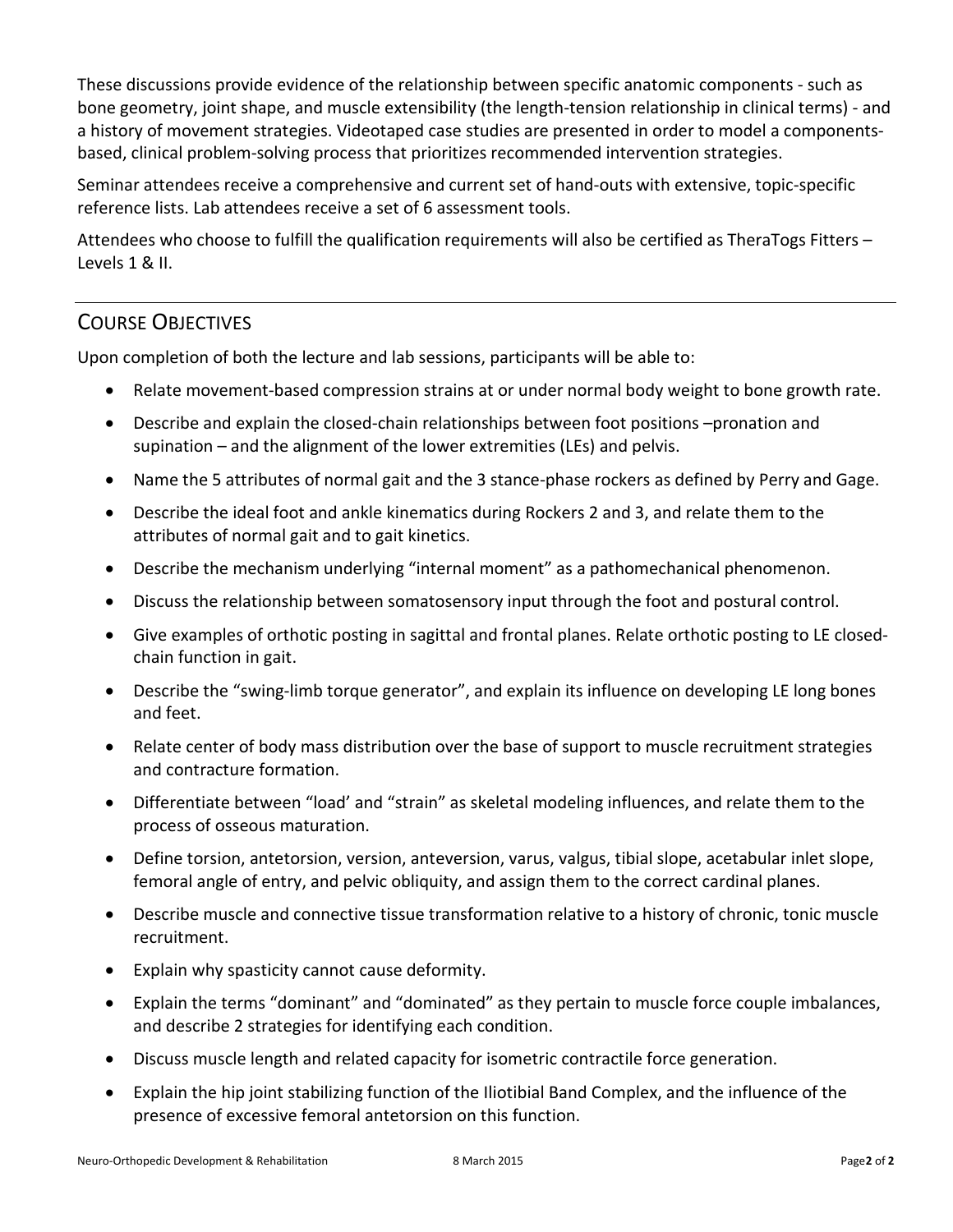These discussions provide evidence of the relationship between specific anatomic components - such as bone geometry, joint shape, and muscle extensibility (the length-tension relationship in clinical terms) - and a history of movement strategies. Videotaped case studies are presented in order to model a componentsbased, clinical problem-solving process that prioritizes recommended intervention strategies.

Seminar attendees receive a comprehensive and current set of hand-outs with extensive, topic-specific reference lists. Lab attendees receive a set of 6 assessment tools.

Attendees who choose to fulfill the qualification requirements will also be certified as TheraTogs Fitters – Levels 1 & II.

# COURSE OBJECTIVES

Upon completion of both the lecture and lab sessions, participants will be able to:

- · Relate movement-based compression strains at or under normal body weight to bone growth rate.
- · Describe and explain the closed-chain relationships between foot positions –pronation and supination – and the alignment of the lower extremities (LEs) and pelvis.
- · Name the 5 attributes of normal gait and the 3 stance-phase rockers as defined by Perry and Gage.
- · Describe the ideal foot and ankle kinematics during Rockers 2 and 3, and relate them to the attributes of normal gait and to gait kinetics.
- · Describe the mechanism underlying "internal moment" as a pathomechanical phenomenon.
- · Discuss the relationship between somatosensory input through the foot and postural control.
- · Give examples of orthotic posting in sagittal and frontal planes. Relate orthotic posting to LE closedchain function in gait.
- Describe the "swing-limb torque generator", and explain its influence on developing LE long bones and feet.
- · Relate center of body mass distribution over the base of support to muscle recruitment strategies and contracture formation.
- · Differentiate between "load' and "strain" as skeletal modeling influences, and relate them to the process of osseous maturation.
- · Define torsion, antetorsion, version, anteversion, varus, valgus, tibial slope, acetabular inlet slope, femoral angle of entry, and pelvic obliquity, and assign them to the correct cardinal planes.
- · Describe muscle and connective tissue transformation relative to a history of chronic, tonic muscle recruitment.
- · Explain why spasticity cannot cause deformity.
- · Explain the terms "dominant" and "dominated" as they pertain to muscle force couple imbalances, and describe 2 strategies for identifying each condition.
- · Discuss muscle length and related capacity for isometric contractile force generation.
- · Explain the hip joint stabilizing function of the Iliotibial Band Complex, and the influence of the presence of excessive femoral antetorsion on this function.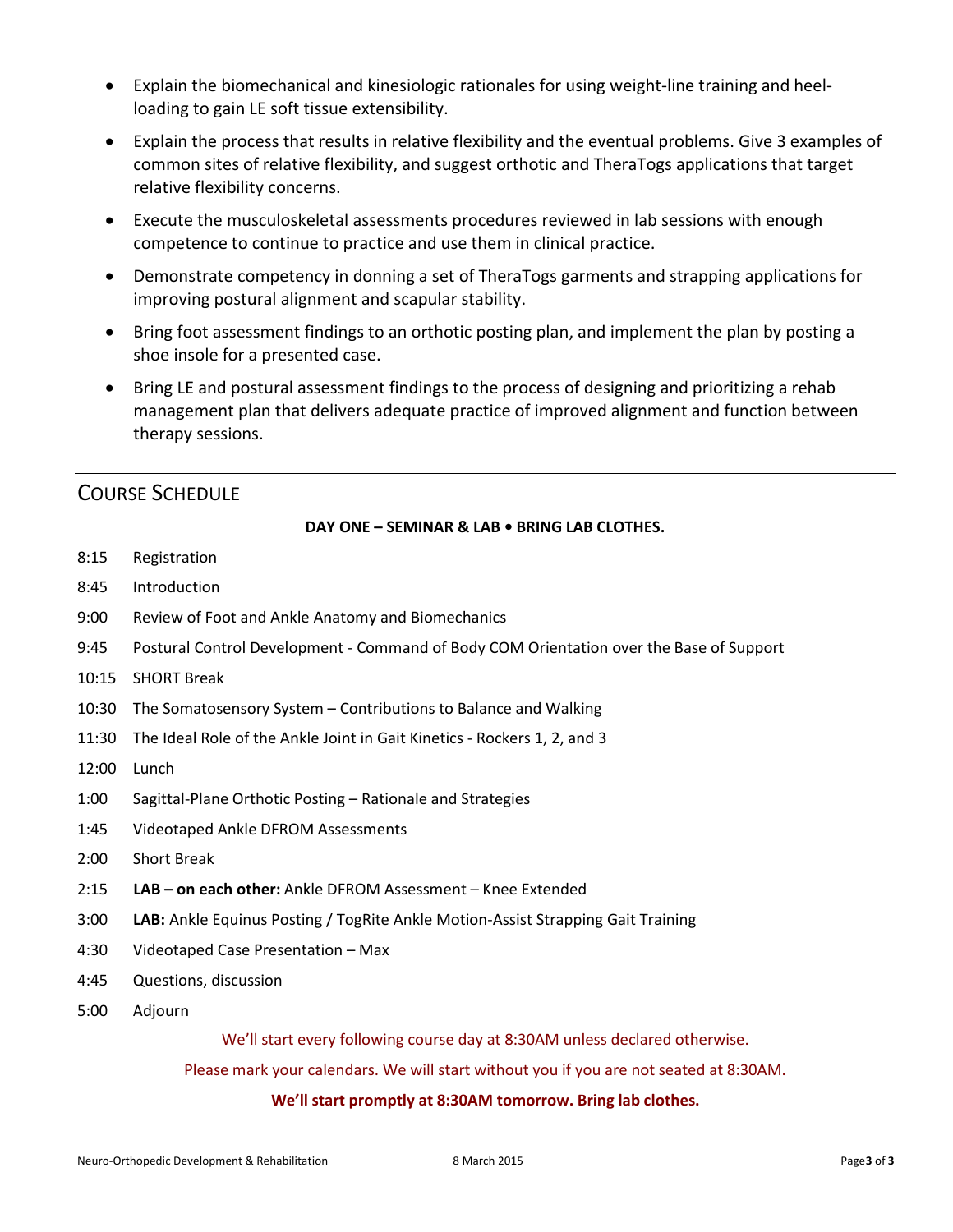- · Explain the biomechanical and kinesiologic rationales for using weight-line training and heelloading to gain LE soft tissue extensibility.
- · Explain the process that results in relative flexibility and the eventual problems. Give 3 examples of common sites of relative flexibility, and suggest orthotic and TheraTogs applications that target relative flexibility concerns.
- · Execute the musculoskeletal assessments procedures reviewed in lab sessions with enough competence to continue to practice and use them in clinical practice.
- · Demonstrate competency in donning a set of TheraTogs garments and strapping applications for improving postural alignment and scapular stability.
- · Bring foot assessment findings to an orthotic posting plan, and implement the plan by posting a shoe insole for a presented case.
- · Bring LE and postural assessment findings to the process of designing and prioritizing a rehab management plan that delivers adequate practice of improved alignment and function between therapy sessions.

# COURSE SCHEDULE

## **DAY ONE – SEMINAR & LAB • BRING LAB CLOTHES.**

- 8:15 Registration
- 8:45 Introduction
- 9:00 Review of Foot and Ankle Anatomy and Biomechanics
- 9:45 Postural Control Development Command of Body COM Orientation over the Base of Support
- 10:15 SHORT Break
- 10:30 The Somatosensory System Contributions to Balance and Walking
- 11:30 The Ideal Role of the Ankle Joint in Gait Kinetics Rockers 1, 2, and 3
- 12:00 Lunch
- 1:00 Sagittal-Plane Orthotic Posting Rationale and Strategies
- 1:45 Videotaped Ankle DFROM Assessments
- 2:00 Short Break
- 2:15 **LAB on each other:** Ankle DFROM Assessment Knee Extended
- 3:00 **LAB:** Ankle Equinus Posting / TogRite Ankle Motion-Assist Strapping Gait Training
- 4:30 Videotaped Case Presentation Max
- 4:45 Questions, discussion
- 5:00 Adjourn

We'll start every following course day at 8:30AM unless declared otherwise.

Please mark your calendars. We will start without you if you are not seated at 8:30AM.

### **We'll start promptly at 8:30AM tomorrow. Bring lab clothes.**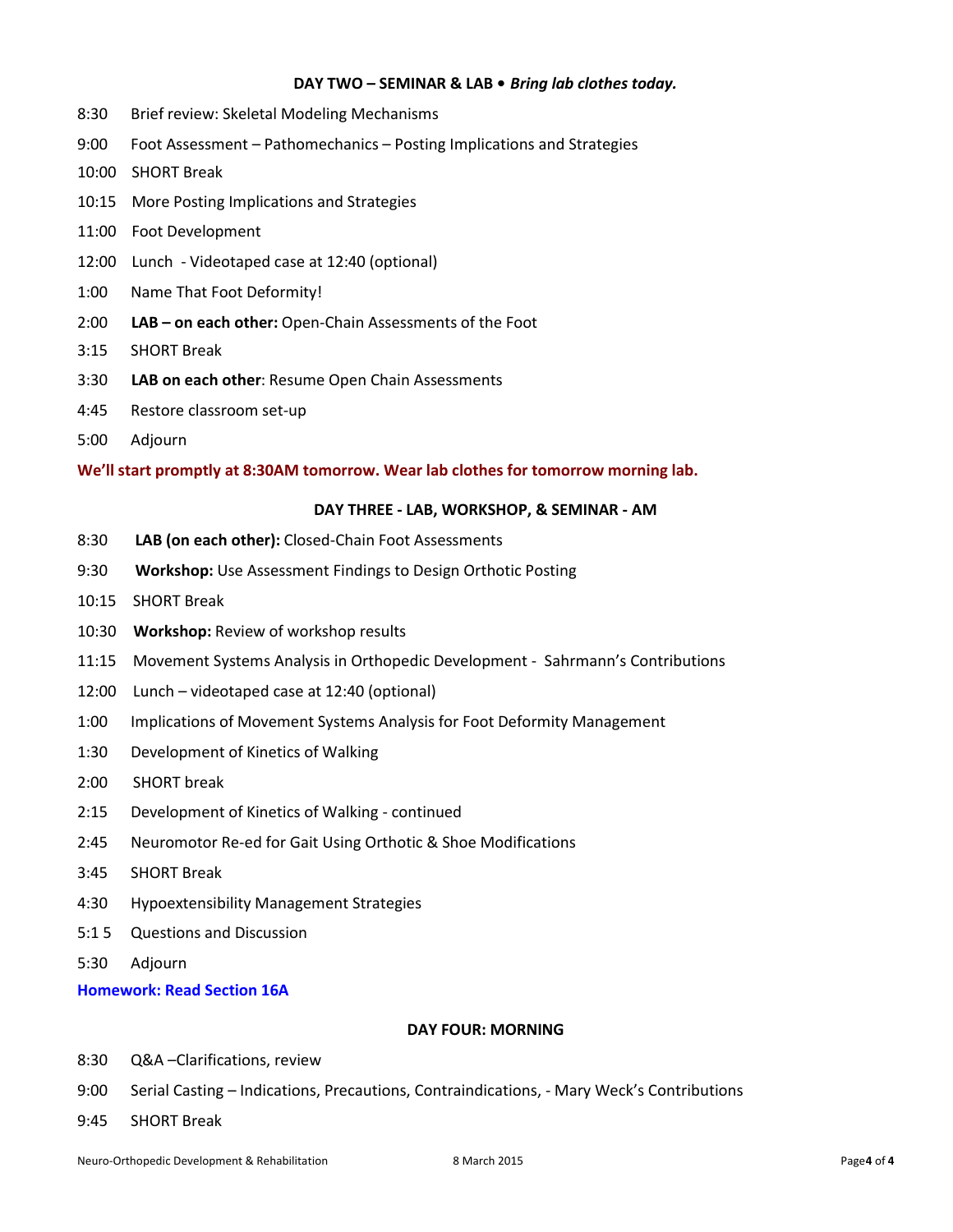#### **DAY TWO – SEMINAR & LAB •** *Bring lab clothes today.*

- 8:30 Brief review: Skeletal Modeling Mechanisms
- 9:00 Foot Assessment Pathomechanics Posting Implications and Strategies
- 10:00 SHORT Break
- 10:15 More Posting Implications and Strategies
- 11:00 Foot Development
- 12:00 Lunch Videotaped case at 12:40 (optional)
- 1:00 Name That Foot Deformity!
- 2:00 **LAB on each other:** Open-Chain Assessments of the Foot
- 3:15 SHORT Break
- 3:30 **LAB on each other**: Resume Open Chain Assessments
- 4:45 Restore classroom set-up
- 5:00 Adjourn

**We'll start promptly at 8:30AM tomorrow. Wear lab clothes for tomorrow morning lab.** 

#### **DAY THREE - LAB, WORKSHOP, & SEMINAR - AM**

- 8:30 **LAB (on each other):** Closed-Chain Foot Assessments
- 9:30 **Workshop:** Use Assessment Findings to Design Orthotic Posting
- 10:15 SHORT Break
- 10:30 **Workshop:** Review of workshop results
- 11:15 Movement Systems Analysis in Orthopedic Development Sahrmann's Contributions
- 12:00 Lunch videotaped case at 12:40 (optional)
- 1:00 Implications of Movement Systems Analysis for Foot Deformity Management
- 1:30 Development of Kinetics of Walking
- 2:00 SHORT break
- 2:15 Development of Kinetics of Walking continued
- 2:45 Neuromotor Re-ed for Gait Using Orthotic & Shoe Modifications
- 3:45 SHORT Break
- 4:30 Hypoextensibility Management Strategies
- 5:1 5 Questions and Discussion
- 5:30 Adjourn

**Homework: Read Section 16A** 

#### **DAY FOUR: MORNING**

- 8:30 Q&A –Clarifications, review
- 9:00 Serial Casting Indications, Precautions, Contraindications, Mary Weck's Contributions
- 9:45 SHORT Break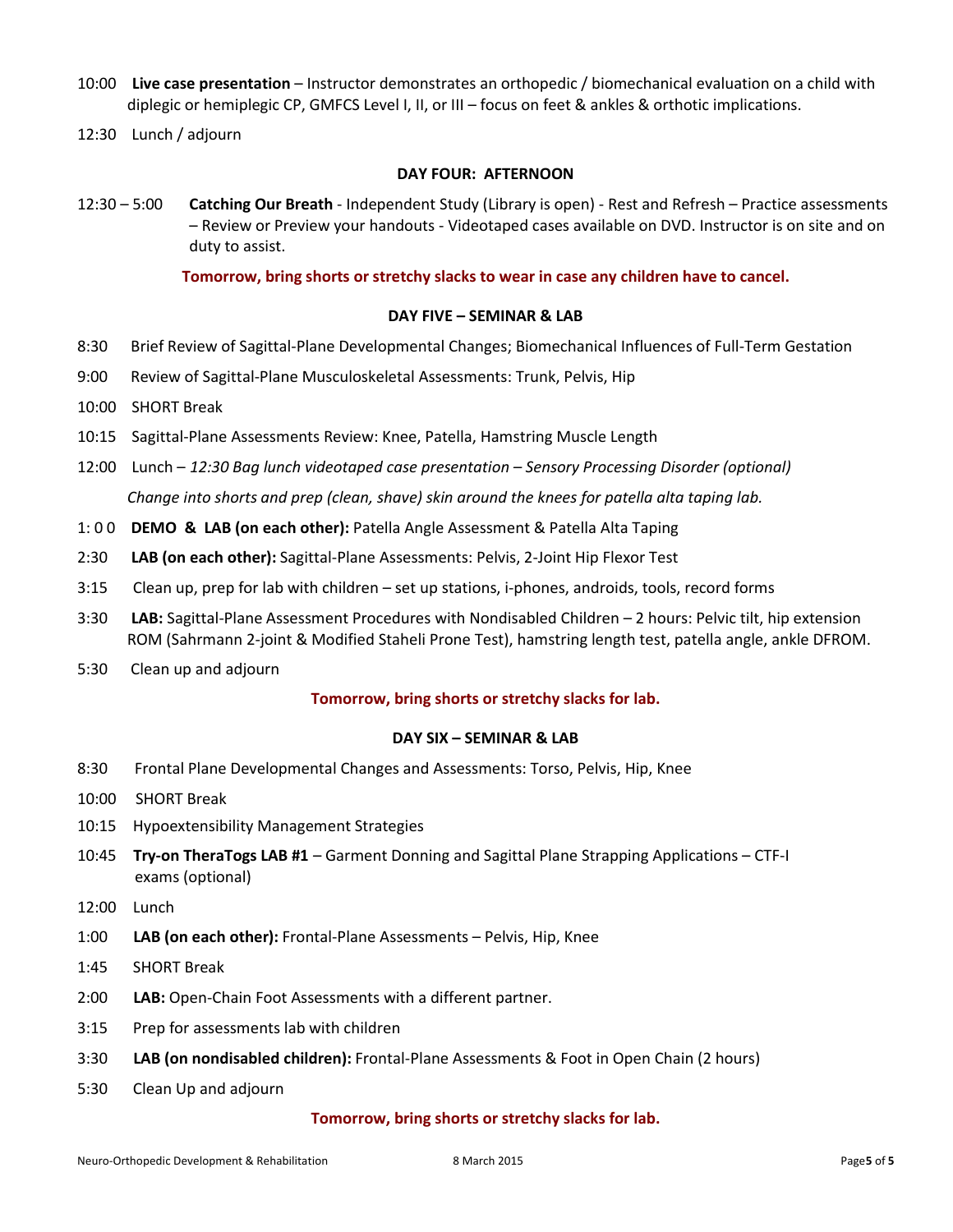- 10:00 **Live case presentation** Instructor demonstrates an orthopedic / biomechanical evaluation on a child with diplegic or hemiplegic CP, GMFCS Level I, II, or III – focus on feet & ankles & orthotic implications.
- 12:30 Lunch / adjourn

#### **DAY FOUR: AFTERNOON**

12:30 – 5:00 **Catching Our Breath** - Independent Study (Library is open) - Rest and Refresh – Practice assessments – Review or Preview your handouts - Videotaped cases available on DVD. Instructor is on site and on duty to assist.

**Tomorrow, bring shorts or stretchy slacks to wear in case any children have to cancel.** 

#### **DAY FIVE – SEMINAR & LAB**

- 8:30 Brief Review of Sagittal-Plane Developmental Changes; Biomechanical Influences of Full-Term Gestation
- 9:00 Review of Sagittal-Plane Musculoskeletal Assessments: Trunk, Pelvis, Hip
- 10:00 SHORT Break
- 10:15 Sagittal-Plane Assessments Review: Knee, Patella, Hamstring Muscle Length
- 12:00 Lunch *12:30 Bag lunch videotaped case presentation – Sensory Processing Disorder (optional) Change into shorts and prep (clean, shave) skin around the knees for patella alta taping lab.*
- 1: 0 0 **DEMO & LAB (on each other):** Patella Angle Assessment & Patella Alta Taping
- 2:30 **LAB (on each other):** Sagittal-Plane Assessments: Pelvis, 2-Joint Hip Flexor Test
- 3:15 Clean up, prep for lab with children set up stations, i-phones, androids, tools, record forms
- 3:30 **LAB:** Sagittal-Plane Assessment Procedures with Nondisabled Children 2 hours: Pelvic tilt, hip extension ROM (Sahrmann 2-joint & Modified Staheli Prone Test), hamstring length test, patella angle, ankle DFROM.
- 5:30 Clean up and adjourn

#### **Tomorrow, bring shorts or stretchy slacks for lab.**

#### **DAY SIX – SEMINAR & LAB**

- 8:30 Frontal Plane Developmental Changes and Assessments: Torso, Pelvis, Hip, Knee
- 10:00 SHORT Break
- 10:15 Hypoextensibility Management Strategies
- 10:45 **Try-on TheraTogs LAB #1** Garment Donning and Sagittal Plane Strapping Applications CTF-I exams (optional)
- 12:00 Lunch
- 1:00 **LAB (on each other):** Frontal-Plane Assessments Pelvis, Hip, Knee
- 1:45 SHORT Break
- 2:00 **LAB:** Open-Chain Foot Assessments with a different partner.
- 3:15 Prep for assessments lab with children
- 3:30 **LAB (on nondisabled children):** Frontal-Plane Assessments & Foot in Open Chain (2 hours)
- 5:30 Clean Up and adjourn

#### **Tomorrow, bring shorts or stretchy slacks for lab.**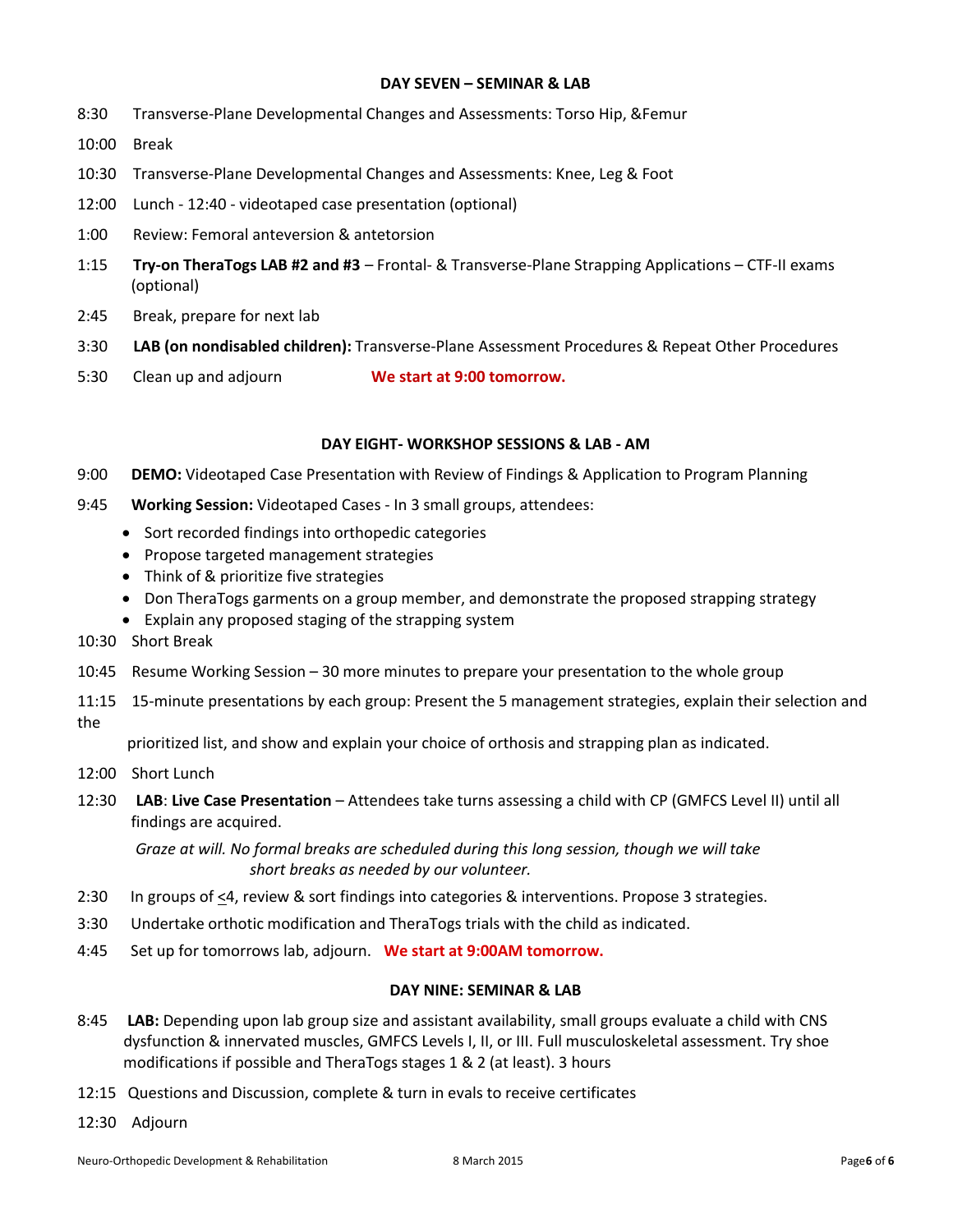#### **DAY SEVEN – SEMINAR & LAB**

- 8:30 Transverse-Plane Developmental Changes and Assessments: Torso Hip, &Femur
- 10:00 Break
- 10:30 Transverse-Plane Developmental Changes and Assessments: Knee, Leg & Foot
- 12:00 Lunch 12:40 videotaped case presentation (optional)
- 1:00 Review: Femoral anteversion & antetorsion
- 1:15 **Try-on TheraTogs LAB #2 and #3** Frontal- & Transverse-Plane Strapping Applications CTF-II exams (optional)
- 2:45 Break, prepare for next lab
- 3:30 **LAB (on nondisabled children):** Transverse-Plane Assessment Procedures & Repeat Other Procedures
- 5:30 Clean up and adjourn **We start at 9:00 tomorrow.**

#### **DAY EIGHT- WORKSHOP SESSIONS & LAB - AM**

- 9:00 **DEMO:** Videotaped Case Presentation with Review of Findings & Application to Program Planning
- 9:45 **Working Session:** Videotaped Cases In 3 small groups, attendees:
	- Sort recorded findings into orthopedic categories
	- · Propose targeted management strategies
	- · Think of & prioritize five strategies
	- · Don TheraTogs garments on a group member, and demonstrate the proposed strapping strategy
	- · Explain any proposed staging of the strapping system
- 10:30 Short Break
- 10:45 Resume Working Session 30 more minutes to prepare your presentation to the whole group
- 11:15 15-minute presentations by each group: Present the 5 management strategies, explain their selection and the

prioritized list, and show and explain your choice of orthosis and strapping plan as indicated.

- 12:00 Short Lunch
- 12:30 **LAB**: **Live Case Presentation** Attendees take turns assessing a child with CP (GMFCS Level II) until all findings are acquired.

 *Graze at will. No formal breaks are scheduled during this long session, though we will take short breaks as needed by our volunteer.* 

- 2:30 In groups of <4, review & sort findings into categories & interventions. Propose 3 strategies.
- 3:30 Undertake orthotic modification and TheraTogs trials with the child as indicated.
- 4:45 Set up for tomorrows lab, adjourn. **We start at 9:00AM tomorrow.**

#### **DAY NINE: SEMINAR & LAB**

- 8:45 **LAB:** Depending upon lab group size and assistant availability, small groups evaluate a child with CNS dysfunction & innervated muscles, GMFCS Levels I, II, or III. Full musculoskeletal assessment. Try shoe modifications if possible and TheraTogs stages 1 & 2 (at least). 3 hours
- 12:15 Questions and Discussion, complete & turn in evals to receive certificates
- 12:30 Adjourn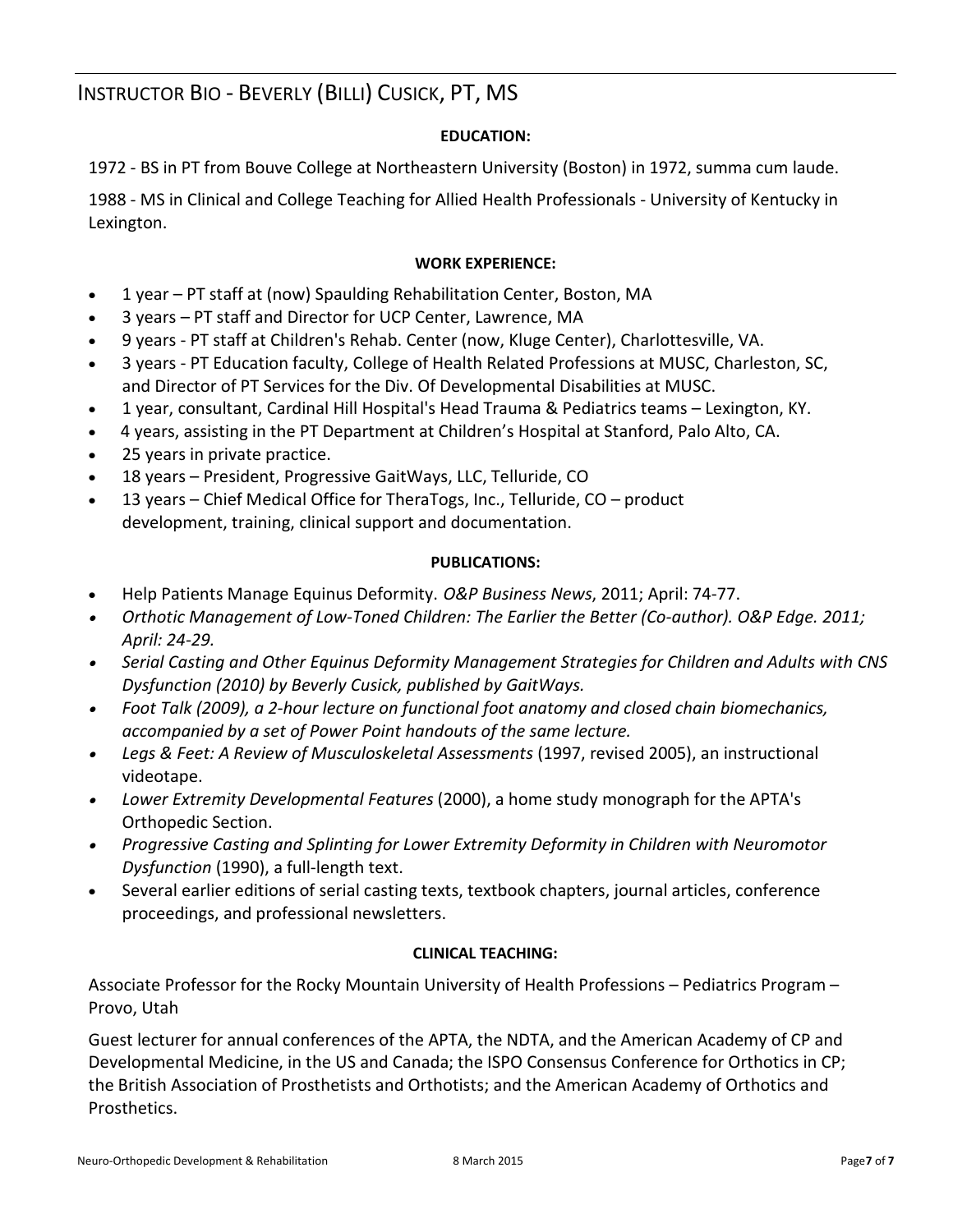# INSTRUCTOR BIO - BEVERLY (BILLI) CUSICK, PT, MS

## **EDUCATION:**

1972 - BS in PT from Bouve College at Northeastern University (Boston) in 1972, summa cum laude.

1988 - MS in Clinical and College Teaching for Allied Health Professionals - University of Kentucky in Lexington.

### **WORK EXPERIENCE:**

- · 1 year PT staff at (now) Spaulding Rehabilitation Center, Boston, MA
- 3 years PT staff and Director for UCP Center, Lawrence, MA
- · 9 years PT staff at Children's Rehab. Center (now, Kluge Center), Charlottesville, VA.
- · 3 years PT Education faculty, College of Health Related Professions at MUSC, Charleston, SC, and Director of PT Services for the Div. Of Developmental Disabilities at MUSC.
- · 1 year, consultant, Cardinal Hill Hospital's Head Trauma & Pediatrics teams Lexington, KY.
- · 4 years, assisting in the PT Department at Children's Hospital at Stanford, Palo Alto, CA.
- · 25 years in private practice.
- · 18 years President, Progressive GaitWays, LLC, Telluride, CO
- · 13 years Chief Medical Office for TheraTogs, Inc., Telluride, CO product development, training, clinical support and documentation.

### **PUBLICATIONS:**

- · Help Patients Manage Equinus Deformity. *O&P Business News*, 2011; April: 74-77.
- *· Orthotic Management of Low-Toned Children: The Earlier the Better (Co-author). O&P Edge. 2011; April: 24-29.*
- *· Serial Casting and Other Equinus Deformity Management Strategies for Children and Adults with CNS Dysfunction (2010) by Beverly Cusick, published by GaitWays.*
- *· Foot Talk (2009), a 2-hour lecture on functional foot anatomy and closed chain biomechanics, accompanied by a set of Power Point handouts of the same lecture.*
- *· Legs & Feet: A Review of Musculoskeletal Assessments* (1997, revised 2005), an instructional videotape.
- *· Lower Extremity Developmental Features* (2000), a home study monograph for the APTA's Orthopedic Section.
- *· Progressive Casting and Splinting for Lower Extremity Deformity in Children with Neuromotor Dysfunction* (1990), a full-length text.
- Several earlier editions of serial casting texts, textbook chapters, journal articles, conference proceedings, and professional newsletters.

### **CLINICAL TEACHING:**

Associate Professor for the Rocky Mountain University of Health Professions – Pediatrics Program – Provo, Utah

Guest lecturer for annual conferences of the APTA, the NDTA, and the American Academy of CP and Developmental Medicine, in the US and Canada; the ISPO Consensus Conference for Orthotics in CP; the British Association of Prosthetists and Orthotists; and the American Academy of Orthotics and Prosthetics.